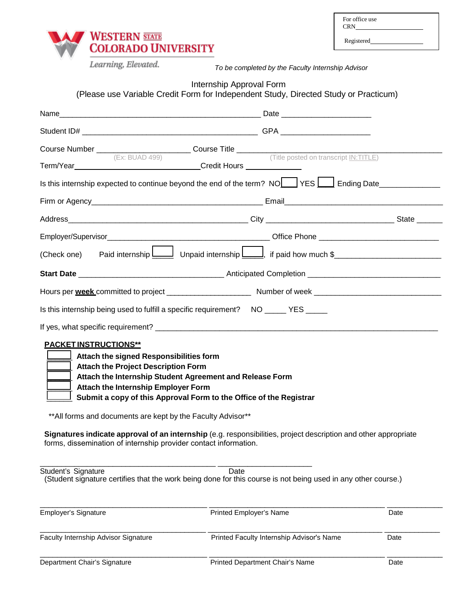| For office use<br><b>CRN</b> |  |
|------------------------------|--|
| Registered                   |  |



*To be completed by the Faculty Internship Advisor*

# Internship Approval Form

(Please use Variable Credit Form for Independent Study, Directed Study or Practicum)

|                                                                                                                                                                                                                                           | Is this internship expected to continue beyond the end of the term? NO YES II Ending Date                             |      |
|-------------------------------------------------------------------------------------------------------------------------------------------------------------------------------------------------------------------------------------------|-----------------------------------------------------------------------------------------------------------------------|------|
|                                                                                                                                                                                                                                           |                                                                                                                       |      |
|                                                                                                                                                                                                                                           |                                                                                                                       |      |
|                                                                                                                                                                                                                                           |                                                                                                                       |      |
|                                                                                                                                                                                                                                           | (Check one) Paid internship Unpaid internship U is and how much \$                                                    |      |
|                                                                                                                                                                                                                                           |                                                                                                                       |      |
|                                                                                                                                                                                                                                           |                                                                                                                       |      |
| Is this internship being used to fulfill a specific requirement? NO ______ YES ______                                                                                                                                                     |                                                                                                                       |      |
|                                                                                                                                                                                                                                           |                                                                                                                       |      |
| <b>PACKET INSTRUCTIONS**</b><br>Attach the signed Responsibilities form<br><b>Attach the Project Description Form</b><br>$\lfloor$ Attach the Internship Student Agreement and Release Form<br><b>Attach the Internship Employer Form</b> | Submit a copy of this Approval Form to the Office of the Registrar                                                    |      |
| ** All forms and documents are kept by the Faculty Advisor**<br>appropriate forms, dissemination of internship provider contact information.                                                                                              | Signatures indicate approval of an internship (e.g. responsibilities, project description and other                   |      |
| Student's Signature                                                                                                                                                                                                                       | Date<br>(Student signature certifies that the work being done for this course is not being used in any other course.) |      |
| <b>Employer's Signature</b>                                                                                                                                                                                                               | Printed Employer's Name                                                                                               | Date |
| Faculty Internship Advisor Signature                                                                                                                                                                                                      | Printed Faculty Internship Advisor's Name                                                                             | Date |
| Department Chair's Signature                                                                                                                                                                                                              | Printed Department Chair's Name                                                                                       | Date |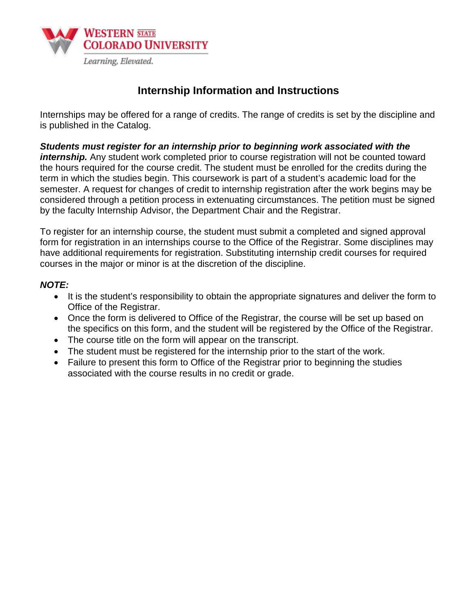

# **Internship Information and Instructions**

Internships may be offered for a range of credits. The range of credits is set by the discipline and is published in the Catalog.

*Students must register for an internship prior to beginning work associated with the internship.* Any student work completed prior to course registration will not be counted toward the hours required for the course credit. The student must be enrolled for the credits during the term in which the studies begin. This coursework is part of a student's academic load for the semester. A request for changes of credit to internship registration after the work begins may be considered through a petition process in extenuating circumstances. The petition must be signed by the faculty Internship Advisor, the Department Chair and the Registrar.

To register for an internship course, the student must submit a completed and signed approval form for registration in an internships course to the Office of the Registrar. Some disciplines may have additional requirements for registration. Substituting internship credit courses for required courses in the major or minor is at the discretion of the discipline.

### *NOTE:*

- It is the student's responsibility to obtain the appropriate signatures and deliver the form to Office of the Registrar.
- Once the form is delivered to Office of the Registrar, the course will be set up based on the specifics on this form, and the student will be registered by the Office of the Registrar.
- The course title on the form will appear on the transcript.
- The student must be registered for the internship prior to the start of the work.
- Failure to present this form to Office of the Registrar prior to beginning the studies associated with the course results in no credit or grade.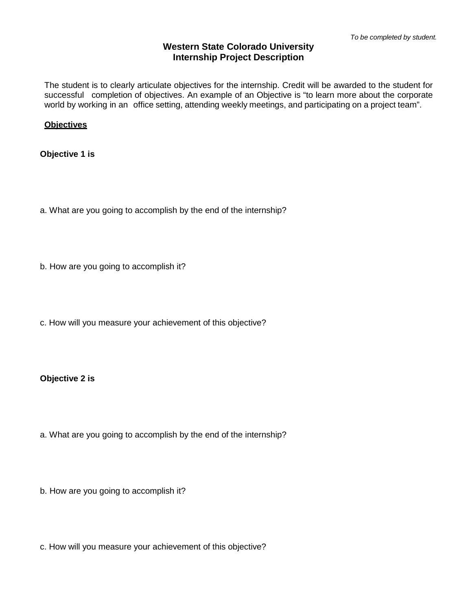### **Western State Colorado University Internship Project Description**

The student is to clearly articulate objectives for the internship. Credit will be awarded to the student for successful completion of objectives. An example of an Objective is "to learn more about the corporate world by working in an office setting, attending weekly meetings, and participating on a project team".

#### **Objectives**

**Objective 1 is**

a. What are you going to accomplish by the end of the internship?

b. How are you going to accomplish it?

c. How will you measure your achievement of this objective?

**Objective 2 is**

a. What are you going to accomplish by the end of the internship?

b. How are you going to accomplish it?

c. How will you measure your achievement of this objective?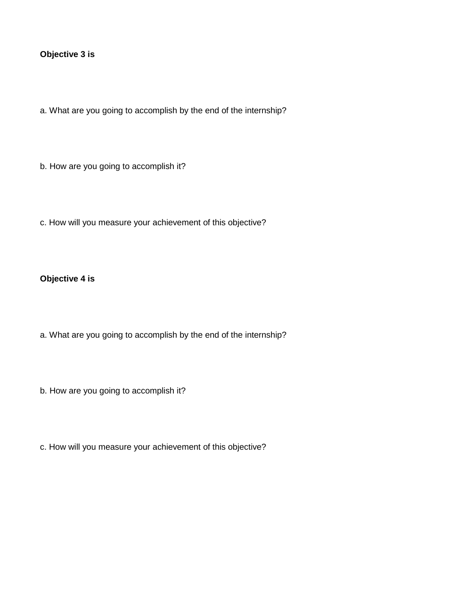### **Objective 3 is**

a. What are you going to accomplish by the end of the internship?

b. How are you going to accomplish it?

c. How will you measure your achievement of this objective?

# **Objective 4 is**

a. What are you going to accomplish by the end of the internship?

b. How are you going to accomplish it?

c. How will you measure your achievement of this objective?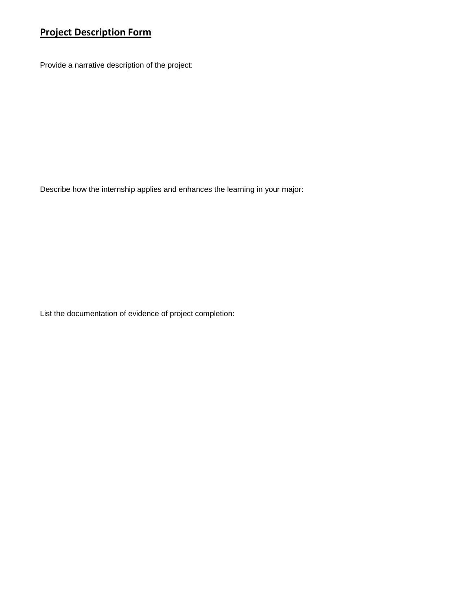# **Project Description Form**

Provide a narrative description of the project:

Describe how the internship applies and enhances the learning in your major:

List the documentation of evidence of project completion: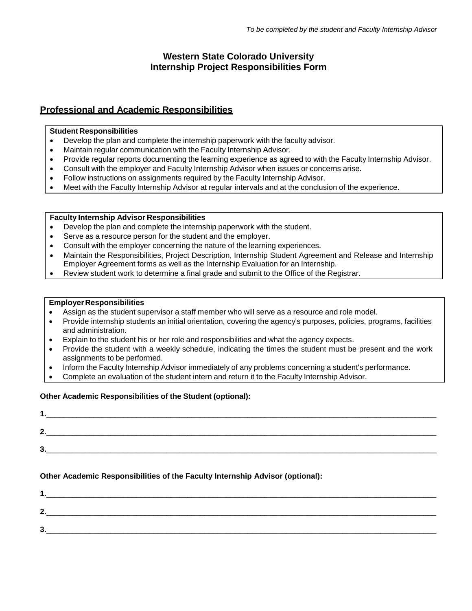# **Western State Colorado University Internship Project Responsibilities Form**

## **Professional and Academic Responsibilities**

#### **Student Responsibilities**

- Develop the plan and complete the internship paperwork with the faculty advisor.
- Maintain regular communication with the Faculty Internship Advisor.
- Provide regular reports documenting the learning experience as agreed to with the Faculty Internship Advisor.
- Consult with the employer and Faculty Internship Advisor when issues or concerns arise.
- Follow instructions on assignments required by the Faculty Internship Advisor.
- Meet with the Faculty Internship Advisor at regular intervals and at the conclusion of the experience.

#### **Faculty Internship Advisor Responsibilities**

- Develop the plan and complete the internship paperwork with the student.
- Serve as a resource person for the student and the employer.
- Consult with the employer concerning the nature of the learning experiences.
- Maintain the Responsibilities, Project Description, Internship Student Agreement and Release and Internship Employer Agreement forms as well as the Internship Evaluation for an Internship.
- Review student work to determine a final grade and submit to the Office of the Registrar.

#### **Employer Responsibilities**

- Assign as the student supervisor a staff member who will serve as a resource and role model.
- Provide internship students an initial orientation, covering the agency's purposes, policies, programs, facilities and administration.
- Explain to the student his or her role and responsibilities and what the agency expects.
- Provide the student with a weekly schedule, indicating the times the student must be present and the work assignments to be performed.
- Inform the Faculty Internship Advisor immediately of any problems concerning a student's performance.
- Complete an evaluation of the student intern and return it to the Faculty Internship Advisor.

#### **Other Academic Responsibilities of the Student (optional):**

| . .     |  |  |
|---------|--|--|
| ⌒<br>£. |  |  |
| ŋ<br>v. |  |  |

#### **Other Academic Responsibilities of the Faculty Internship Advisor (optional):**

| . .     |  |  |
|---------|--|--|
| ∍<br>v. |  |  |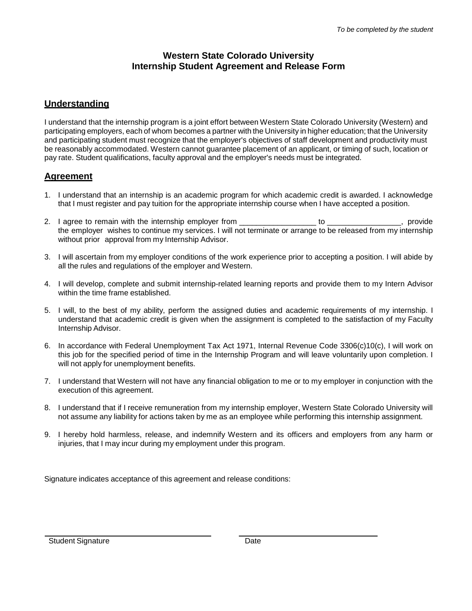### **Western State Colorado University Internship Student Agreement and Release Form**

# **Understanding**

I understand that the internship program is a joint effort between Western State Colorado University (Western) and participating employers, each of whom becomes a partner with the University in higher education; that the University and participating student must recognize that the employer's objectives of staff development and productivity must be reasonably accommodated. Western cannot guarantee placement of an applicant, or timing of such, location or pay rate. Student qualifications, faculty approval and the employer's needs must be integrated.

# **Agreement**

- 1. I understand that an internship is an academic program for which academic credit is awarded. I acknowledge that I must register and pay tuition for the appropriate internship course when I have accepted a position.
- 2. I agree to remain with the internship employer from The Contract to Theorem and to the provide the employer wishes to continue my services. I will not terminate or arrange to be released from my internship without prior approval from my Internship Advisor.
- 3. I will ascertain from my employer conditions of the work experience prior to accepting a position. I will abide by all the rules and regulations of the employer and Western.
- 4. I will develop, complete and submit internship-related learning reports and provide them to my Intern Advisor within the time frame established.
- 5. I will, to the best of my ability, perform the assigned duties and academic requirements of my internship. I understand that academic credit is given when the assignment is completed to the satisfaction of my Faculty Internship Advisor.
- 6. In accordance with Federal Unemployment Tax Act 1971, Internal Revenue Code 3306(c)10(c), I will work on this job for the specified period of time in the Internship Program and will leave voluntarily upon completion. I will not apply for unemployment benefits.
- 7. I understand that Western will not have any financial obligation to me or to my employer in conjunction with the execution of this agreement.
- 8. I understand that if I receive remuneration from my internship employer, Western State Colorado University will not assume any liability for actions taken by me as an employee while performing this internship assignment.
- 9. I hereby hold harmless, release, and indemnify Western and its officers and employers from any harm or injuries, that I may incur during my employment under this program.

Signature indicates acceptance of this agreement and release conditions: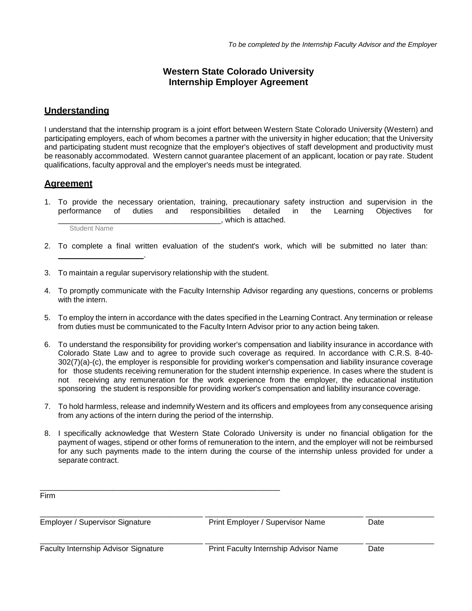### **Western State Colorado University Internship Employer Agreement**

#### **Understanding**

I understand that the internship program is a joint effort between Western State Colorado University (Western) and participating employers, each of whom becomes a partner with the university in higher education; that the University and participating student must recognize that the employer's objectives of staff development and productivity must be reasonably accommodated. Western cannot guarantee placement of an applicant, location or pay rate. Student qualifications, faculty approval and the employer's needs must be integrated.

#### **Agreement**

1. To provide the necessary orientation, training, precautionary safety instruction and supervision in the performance of duties and responsibilities detailed in the Learning Objectives for \_\_\_\_\_\_\_\_\_\_\_\_\_\_\_\_\_\_\_\_\_\_\_\_\_\_\_\_\_\_\_\_\_\_\_\_\_\_, which is attached.

Student Name

- 2. To complete a final written evaluation of the student's work, which will be submitted no later than: .
- 3. To maintain a regular supervisory relationship with the student.

\_\_\_\_\_\_\_\_\_\_\_\_\_\_\_\_\_\_\_\_\_\_\_\_\_\_\_\_\_\_\_\_\_\_\_\_\_\_\_\_\_\_\_\_\_\_\_\_\_\_\_\_\_\_\_\_

- 4. To promptly communicate with the Faculty Internship Advisor regarding any questions, concerns or problems with the intern.
- 5. To employ the intern in accordance with the dates specified in the Learning Contract. Any termination or release from duties must be communicated to the Faculty Intern Advisor prior to any action being taken.
- 6. To understand the responsibility for providing worker's compensation and liability insurance in accordance with Colorado State Law and to agree to provide such coverage as required. In accordance with C.R.S. 8-40- 302(7)(a)-(c), the employer is responsible for providing worker's compensation and liability insurance coverage for those students receiving remuneration for the student internship experience. In cases where the student is not receiving any remuneration for the work experience from the employer, the educational institution sponsoring the student is responsible for providing worker's compensation and liability insurance coverage.
- 7. To hold harmless, release and indemnifyWestern and its officers and employees from any consequence arising from any actions of the intern during the period of the internship.
- 8. I specifically acknowledge that Western State Colorado University is under no financial obligation for the payment of wages, stipend or other forms of remuneration to the intern, and the employer will not be reimbursed for any such payments made to the intern during the course of the internship unless provided for under a separate contract.

| Firm                                   |                                       |      |  |
|----------------------------------------|---------------------------------------|------|--|
| <b>Employer / Supervisor Signature</b> | Print Employer / Supervisor Name      | Date |  |
| Faculty Internship Advisor Signature   | Print Faculty Internship Advisor Name | Date |  |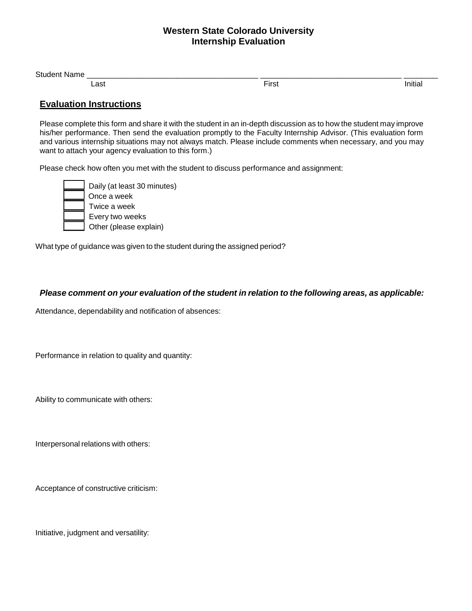### **Western State Colorado University Internship Evaluation**

| $\mathbf{C}$<br>◝ |           |                        |   |
|-------------------|-----------|------------------------|---|
|                   | ∟ast<br>. | $-$<br>.<br>.<br>_____ | . |

## **Evaluation Instructions**

Please complete this form and share it with the student in an in-depth discussion as to how the student may improve his/her performance. Then send the evaluation promptly to the Faculty Internship Advisor. (This evaluation form and various internship situations may not always match. Please include comments when necessary, and you may want to attach your agency evaluation to this form.)

Please check how often you met with the student to discuss performance and assignment:

|  | Daily (at least 30 minutes) |
|--|-----------------------------|
|  | Once a week                 |
|  | Twice a week                |
|  | Every two weeks             |
|  | Other (please explain)      |

What type of guidance was given to the student during the assigned period?

#### *Please comment on your evaluation of the student in relation to the following areas, as applicable:*

Attendance, dependability and notification of absences:

Performance in relation to quality and quantity:

Ability to communicate with others:

Interpersonal relations with others:

Acceptance of constructive criticism:

Initiative, judgment and versatility: